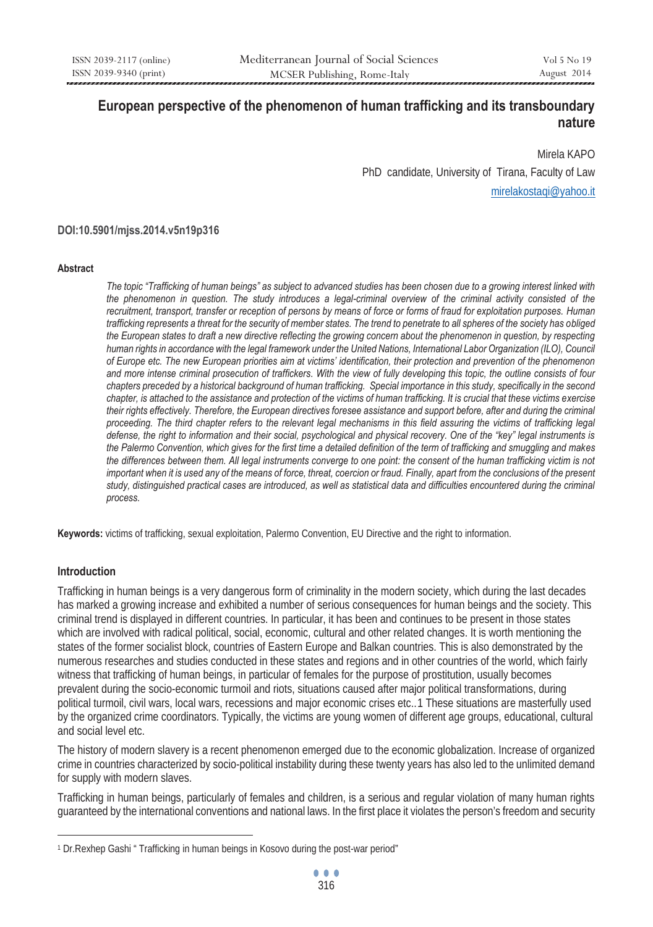# **European perspective of the phenomenon of human trafficking and its transboundary nature**

Mirela KAPO PhD candidate, University of Tirana, Faculty of Law mirelakostaqi@yahoo.it

#### **DOI:10.5901/mjss.2014.v5n19p316**

#### **Abstract**

*The topic "Trafficking of human beings" as subject to advanced studies has been chosen due to a growing interest linked with the phenomenon in question. The study introduces a legal-criminal overview of the criminal activity consisted of the recruitment, transport, transfer or reception of persons by means of force or forms of fraud for exploitation purposes. Human trafficking represents a threat for the security of member states. The trend to penetrate to all spheres of the society has obliged the European states to draft a new directive reflecting the growing concern about the phenomenon in question, by respecting human rights in accordance with the legal framework under the United Nations, International Labor Organization (ILO), Council of Europe etc. The new European priorities aim at victims' identification, their protection and prevention of the phenomenon and more intense criminal prosecution of traffickers. With the view of fully developing this topic, the outline consists of four chapters preceded by a historical background of human trafficking. Special importance in this study, specifically in the second chapter, is attached to the assistance and protection of the victims of human trafficking. It is crucial that these victims exercise their rights effectively. Therefore, the European directives foresee assistance and support before, after and during the criminal proceeding. The third chapter refers to the relevant legal mechanisms in this field assuring the victims of trafficking legal defense, the right to information and their social, psychological and physical recovery. One of the "key" legal instruments is the Palermo Convention, which gives for the first time a detailed definition of the term of trafficking and smuggling and makes the differences between them. All legal instruments converge to one point: the consent of the human trafficking victim is not important when it is used any of the means of force, threat, coercion or fraud. Finally, apart from the conclusions of the present study, distinguished practical cases are introduced, as well as statistical data and difficulties encountered during the criminal process.* 

**Keywords:** victims of trafficking, sexual exploitation, Palermo Convention, EU Directive and the right to information.

#### **Introduction**

 $\overline{a}$ 

Trafficking in human beings is a very dangerous form of criminality in the modern society, which during the last decades has marked a growing increase and exhibited a number of serious consequences for human beings and the society. This criminal trend is displayed in different countries. In particular, it has been and continues to be present in those states which are involved with radical political, social, economic, cultural and other related changes. It is worth mentioning the states of the former socialist block, countries of Eastern Europe and Balkan countries. This is also demonstrated by the numerous researches and studies conducted in these states and regions and in other countries of the world, which fairly witness that trafficking of human beings, in particular of females for the purpose of prostitution, usually becomes prevalent during the socio-economic turmoil and riots, situations caused after major political transformations, during political turmoil, civil wars, local wars, recessions and major economic crises etc..1 These situations are masterfully used by the organized crime coordinators. Typically, the victims are young women of different age groups, educational, cultural and social level etc.

The history of modern slavery is a recent phenomenon emerged due to the economic globalization. Increase of organized crime in countries characterized by socio-political instability during these twenty years has also led to the unlimited demand for supply with modern slaves.

Trafficking in human beings, particularly of females and children, is a serious and regular violation of many human rights guaranteed by the international conventions and national laws. In the first place it violates the person's freedom and security

<sup>1</sup> Dr.Rexhep Gashi " Trafficking in human beings in Kosovo during the post-war period"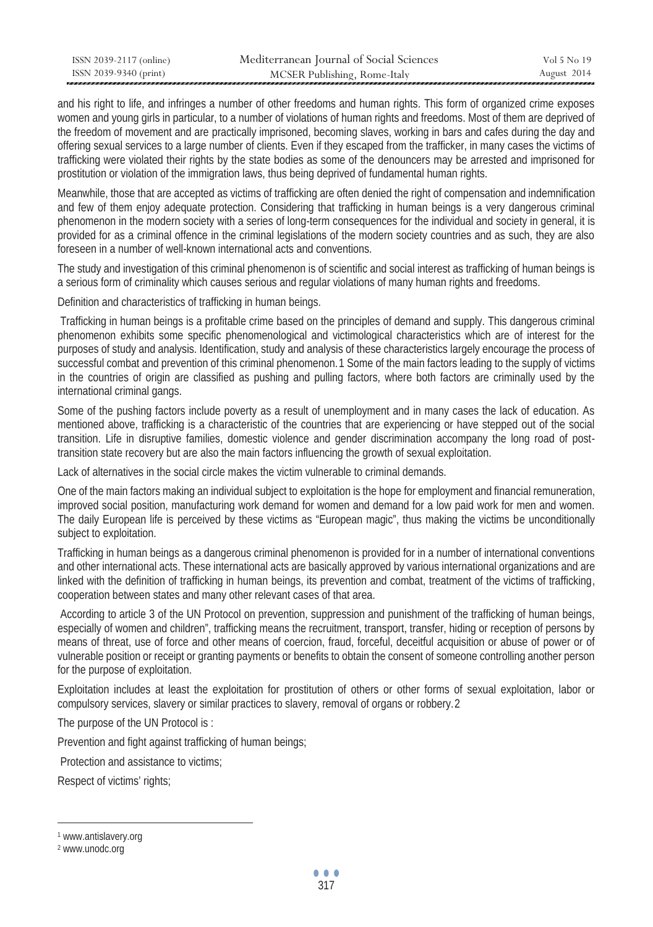| ISSN 2039-2117 (online) | Mediterranean Journal of Social Sciences | Vol 5 No 19 |
|-------------------------|------------------------------------------|-------------|
| ISSN 2039-9340 (print)  | MCSER Publishing, Rome-Italy             | August 2014 |

and his right to life, and infringes a number of other freedoms and human rights. This form of organized crime exposes women and young girls in particular, to a number of violations of human rights and freedoms. Most of them are deprived of the freedom of movement and are practically imprisoned, becoming slaves, working in bars and cafes during the day and offering sexual services to a large number of clients. Even if they escaped from the trafficker, in many cases the victims of trafficking were violated their rights by the state bodies as some of the denouncers may be arrested and imprisoned for prostitution or violation of the immigration laws, thus being deprived of fundamental human rights.

Meanwhile, those that are accepted as victims of trafficking are often denied the right of compensation and indemnification and few of them enjoy adequate protection. Considering that trafficking in human beings is a very dangerous criminal phenomenon in the modern society with a series of long-term consequences for the individual and society in general, it is provided for as a criminal offence in the criminal legislations of the modern society countries and as such, they are also foreseen in a number of well-known international acts and conventions.

The study and investigation of this criminal phenomenon is of scientific and social interest as trafficking of human beings is a serious form of criminality which causes serious and regular violations of many human rights and freedoms.

Definition and characteristics of trafficking in human beings.

 Trafficking in human beings is a profitable crime based on the principles of demand and supply. This dangerous criminal phenomenon exhibits some specific phenomenological and victimological characteristics which are of interest for the purposes of study and analysis. Identification, study and analysis of these characteristics largely encourage the process of successful combat and prevention of this criminal phenomenon. 1 Some of the main factors leading to the supply of victims in the countries of origin are classified as pushing and pulling factors, where both factors are criminally used by the international criminal gangs.

Some of the pushing factors include poverty as a result of unemployment and in many cases the lack of education. As mentioned above, trafficking is a characteristic of the countries that are experiencing or have stepped out of the social transition. Life in disruptive families, domestic violence and gender discrimination accompany the long road of posttransition state recovery but are also the main factors influencing the growth of sexual exploitation.

Lack of alternatives in the social circle makes the victim vulnerable to criminal demands.

One of the main factors making an individual subject to exploitation is the hope for employment and financial remuneration, improved social position, manufacturing work demand for women and demand for a low paid work for men and women. The daily European life is perceived by these victims as "European magic", thus making the victims be unconditionally subject to exploitation.

Trafficking in human beings as a dangerous criminal phenomenon is provided for in a number of international conventions and other international acts. These international acts are basically approved by various international organizations and are linked with the definition of trafficking in human beings, its prevention and combat, treatment of the victims of trafficking, cooperation between states and many other relevant cases of that area.

 According to article 3 of the UN Protocol on prevention, suppression and punishment of the trafficking of human beings, especially of women and children", trafficking means the recruitment, transport, transfer, hiding or reception of persons by means of threat, use of force and other means of coercion, fraud, forceful, deceitful acquisition or abuse of power or of vulnerable position or receipt or granting payments or benefits to obtain the consent of someone controlling another person for the purpose of exploitation.

Exploitation includes at least the exploitation for prostitution of others or other forms of sexual exploitation, labor or compulsory services, slavery or similar practices to slavery, removal of organs or robbery.2

The purpose of the UN Protocol is :

Prevention and fight against trafficking of human beings;

Protection and assistance to victims;

Respect of victims' rights;

<sup>1</sup> www.antislavery.org

<sup>2</sup> www.unodc.org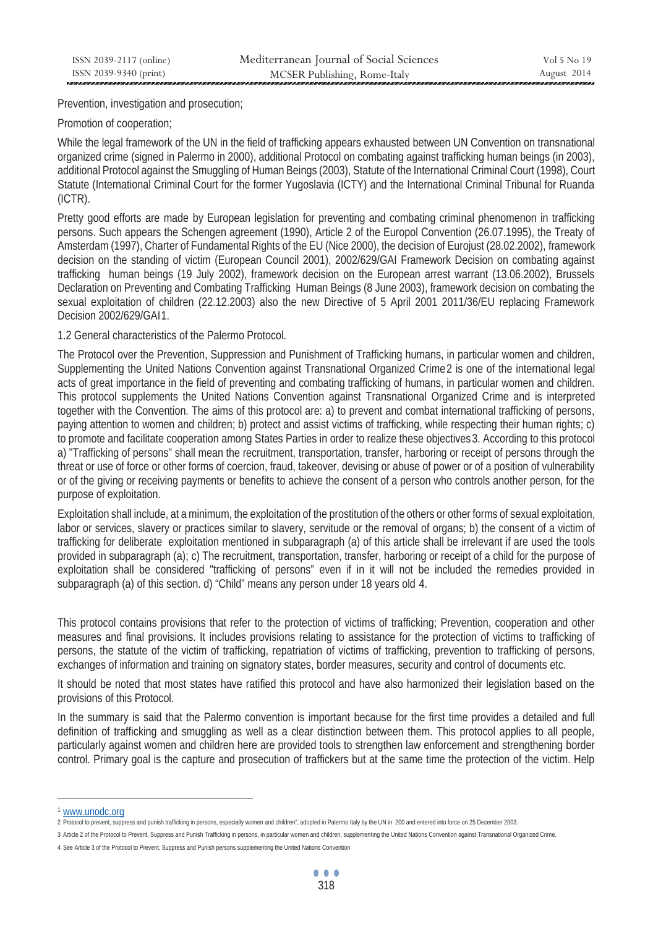Prevention, investigation and prosecution;

## Promotion of cooperation;

While the legal framework of the UN in the field of trafficking appears exhausted between UN Convention on transnational organized crime (signed in Palermo in 2000), additional Protocol on combating against trafficking human beings (in 2003), additional Protocol against the Smuggling of Human Beings (2003), Statute of the International Criminal Court (1998), Court Statute (International Criminal Court for the former Yugoslavia (ICTY) and the International Criminal Tribunal for Ruanda (ICTR).

Pretty good efforts are made by European legislation for preventing and combating criminal phenomenon in trafficking persons. Such appears the Schengen agreement (1990), Article 2 of the Europol Convention (26.07.1995), the Treaty of Amsterdam (1997), Charter of Fundamental Rights of the EU (Nice 2000), the decision of Eurojust (28.02.2002), framework decision on the standing of victim (European Council 2001), 2002/629/GAI Framework Decision on combating against trafficking human beings (19 July 2002), framework decision on the European arrest warrant (13.06.2002), Brussels Declaration on Preventing and Combating Trafficking Human Beings (8 June 2003), framework decision on combating the sexual exploitation of children (22.12.2003) also the new Directive of 5 April 2001 2011/36/EU replacing Framework Decision 2002/629/GAI1.

1.2 General characteristics of the Palermo Protocol.

The Protocol over the Prevention, Suppression and Punishment of Trafficking humans, in particular women and children, Supplementing the United Nations Convention against Transnational Organized Crime2 is one of the international legal acts of great importance in the field of preventing and combating trafficking of humans, in particular women and children. This protocol supplements the United Nations Convention against Transnational Organized Crime and is interpreted together with the Convention. The aims of this protocol are: a) to prevent and combat international trafficking of persons, paying attention to women and children; b) protect and assist victims of trafficking, while respecting their human rights; c) to promote and facilitate cooperation among States Parties in order to realize these objectives 3. According to this protocol a) "Trafficking of persons" shall mean the recruitment, transportation, transfer, harboring or receipt of persons through the threat or use of force or other forms of coercion, fraud, takeover, devising or abuse of power or of a position of vulnerability or of the giving or receiving payments or benefits to achieve the consent of a person who controls another person, for the purpose of exploitation.

Exploitation shall include, at a minimum, the exploitation of the prostitution of the others or other forms of sexual exploitation, labor or services, slavery or practices similar to slavery, servitude or the removal of organs; b) the consent of a victim of trafficking for deliberate exploitation mentioned in subparagraph (a) of this article shall be irrelevant if are used the tools provided in subparagraph (a); c) The recruitment, transportation, transfer, harboring or receipt of a child for the purpose of exploitation shall be considered "trafficking of persons" even if in it will not be included the remedies provided in subparagraph (a) of this section. d) "Child" means any person under 18 years old 4.

This protocol contains provisions that refer to the protection of victims of trafficking; Prevention, cooperation and other measures and final provisions. It includes provisions relating to assistance for the protection of victims to trafficking of persons, the statute of the victim of trafficking, repatriation of victims of trafficking, prevention to trafficking of persons, exchanges of information and training on signatory states, border measures, security and control of documents etc.

It should be noted that most states have ratified this protocol and have also harmonized their legislation based on the provisions of this Protocol.

In the summary is said that the Palermo convention is important because for the first time provides a detailed and full definition of trafficking and smuggling as well as a clear distinction between them. This protocol applies to all people, particularly against women and children here are provided tools to strengthen law enforcement and strengthening border control. Primary goal is the capture and prosecution of traffickers but at the same time the protection of the victim. Help

<sup>&</sup>lt;sup>1</sup> WWW.UNO<mark>CC.Org</mark><br>2 Protocol to prevent, suppress and punish trafficking in persons, especially women and children", adopted in Palermo Italy by the UN in 200 and entered into force on 25 December 2003.

<sup>3</sup> Article 2 of the Protocol to Prevent, Suppress and Punish Trafficking in persons, in particular women and children, supplementing the United Nations Convention against Transnational Organized Crime.

<sup>4</sup> See Article 3 of the Protocol to Prevent, Suppress and Punish persons supplementing the United Nations Convention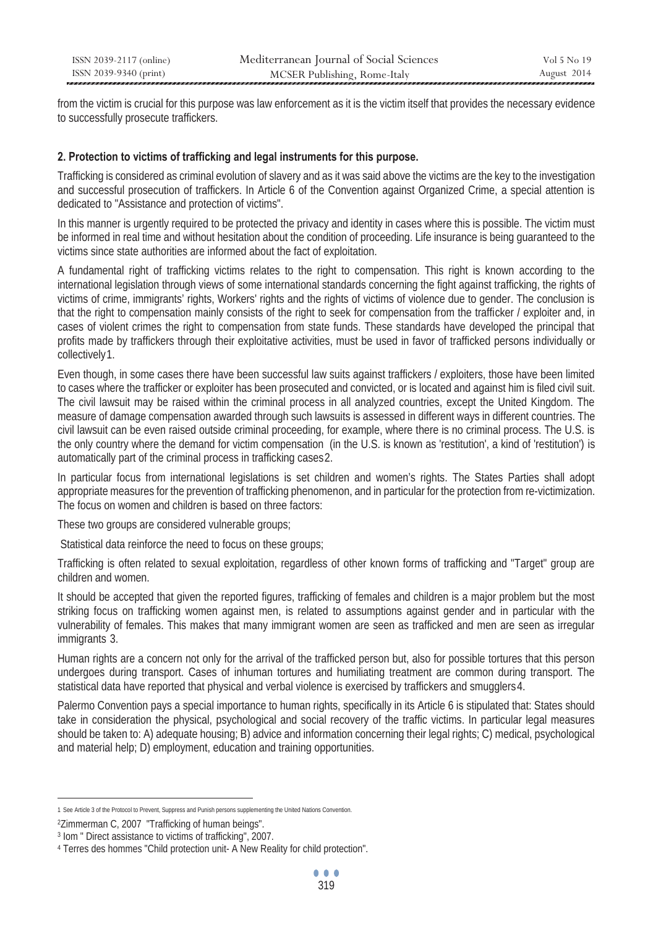| ISSN 2039-2117 (online) | Mediterranean Journal of Social Sciences | Vol 5 No 19 |
|-------------------------|------------------------------------------|-------------|
| ISSN 2039-9340 (print)  | MCSER Publishing, Rome-Italy             | August 2014 |

from the victim is crucial for this purpose was law enforcement as it is the victim itself that provides the necessary evidence to successfully prosecute traffickers.

## **2. Protection to victims of trafficking and legal instruments for this purpose.**

Trafficking is considered as criminal evolution of slavery and as it was said above the victims are the key to the investigation and successful prosecution of traffickers. In Article 6 of the Convention against Organized Crime, a special attention is dedicated to "Assistance and protection of victims".

In this manner is urgently required to be protected the privacy and identity in cases where this is possible. The victim must be informed in real time and without hesitation about the condition of proceeding. Life insurance is being guaranteed to the victims since state authorities are informed about the fact of exploitation.

A fundamental right of trafficking victims relates to the right to compensation. This right is known according to the international legislation through views of some international standards concerning the fight against trafficking, the rights of victims of crime, immigrants' rights, Workers' rights and the rights of victims of violence due to gender. The conclusion is that the right to compensation mainly consists of the right to seek for compensation from the trafficker / exploiter and, in cases of violent crimes the right to compensation from state funds. These standards have developed the principal that profits made by traffickers through their exploitative activities, must be used in favor of trafficked persons individually or collectively1.

Even though, in some cases there have been successful law suits against traffickers / exploiters, those have been limited to cases where the trafficker or exploiter has been prosecuted and convicted, or is located and against him is filed civil suit. The civil lawsuit may be raised within the criminal process in all analyzed countries, except the United Kingdom. The measure of damage compensation awarded through such lawsuits is assessed in different ways in different countries. The civil lawsuit can be even raised outside criminal proceeding, for example, where there is no criminal process. The U.S. is the only country where the demand for victim compensation (in the U.S. is known as 'restitution', a kind of 'restitution') is automatically part of the criminal process in trafficking cases2.

In particular focus from international legislations is set children and women's rights. The States Parties shall adopt appropriate measures for the prevention of trafficking phenomenon, and in particular for the protection from re-victimization. The focus on women and children is based on three factors:

These two groups are considered vulnerable groups;

Statistical data reinforce the need to focus on these groups;

Trafficking is often related to sexual exploitation, regardless of other known forms of trafficking and "Target" group are children and women.

It should be accepted that given the reported figures, trafficking of females and children is a major problem but the most striking focus on trafficking women against men, is related to assumptions against gender and in particular with the vulnerability of females. This makes that many immigrant women are seen as trafficked and men are seen as irregular immigrants 3.

Human rights are a concern not only for the arrival of the trafficked person but, also for possible tortures that this person undergoes during transport. Cases of inhuman tortures and humiliating treatment are common during transport. The statistical data have reported that physical and verbal violence is exercised by traffickers and smugglers 4.

Palermo Convention pays a special importance to human rights, specifically in its Article 6 is stipulated that: States should take in consideration the physical, psychological and social recovery of the traffic victims. In particular legal measures should be taken to: A) adequate housing; B) advice and information concerning their legal rights; C) medical, psychological and material help; D) employment, education and training opportunities.

 $\overline{a}$ 1 See Article 3 of the Protocol to Prevent, Suppress and Punish persons supplementing the United Nations Convention.

<sup>&</sup>lt;sup>2</sup>Zimmerman C, 2007 "Trafficking of human beings".<br><sup>3</sup> Iom " Direct assistance to victims of trafficking", 2007.<br><sup>4</sup> Terres des hommes "Child protection unit- A New Reality for child protection".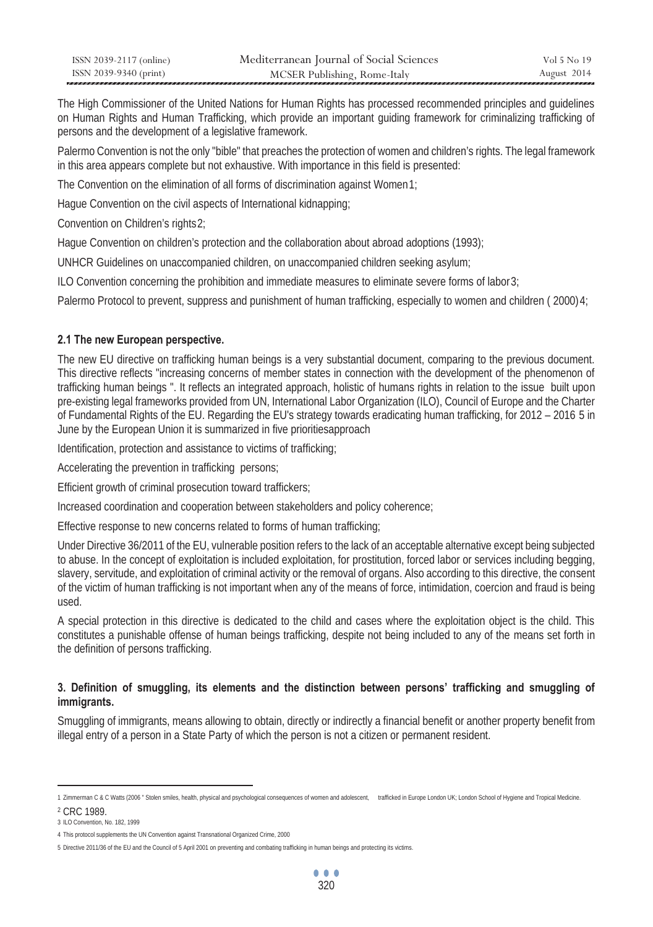| ISSN 2039-2117 (online) | Mediterranean Journal of Social Sciences | Vol 5 No 19 |
|-------------------------|------------------------------------------|-------------|
| ISSN 2039-9340 (print)  | MCSER Publishing, Rome-Italy             | August 2014 |

The High Commissioner of the United Nations for Human Rights has processed recommended principles and guidelines on Human Rights and Human Trafficking, which provide an important guiding framework for criminalizing trafficking of persons and the development of a legislative framework.

Palermo Convention is not the only "bible" that preaches the protection of women and children's rights. The legal framework in this area appears complete but not exhaustive. With importance in this field is presented:

The Convention on the elimination of all forms of discrimination against Women1;

Hague Convention on the civil aspects of International kidnapping:

Convention on Children's rights2;

Hague Convention on children's protection and the collaboration about abroad adoptions (1993);

UNHCR Guidelines on unaccompanied children, on unaccompanied children seeking asylum;

ILO Convention concerning the prohibition and immediate measures to eliminate severe forms of labor  $3$ ;

Palermo Protocol to prevent, suppress and punishment of human trafficking, especially to women and children (2000)4;

#### **2.1 The new European perspective.**

The new EU directive on trafficking human beings is a very substantial document, comparing to the previous document. This directive reflects "increasing concerns of member states in connection with the development of the phenomenon of trafficking human beings ". It reflects an integrated approach, holistic of humans rights in relation to the issue built upon pre-existing legal frameworks provided from UN, International Labor Organization (ILO), Council of Europe and the Charter of Fundamental Rights of the EU. Regarding the EU's strategy towards eradicating human trafficking, for 2012 – 2016 5 in June by the European Union it is summarized in five prioritiesapproach

Identification, protection and assistance to victims of trafficking;

Accelerating the prevention in trafficking persons;

Efficient growth of criminal prosecution toward traffickers;

Increased coordination and cooperation between stakeholders and policy coherence;

Effective response to new concerns related to forms of human trafficking;

Under Directive 36/2011 of the EU, vulnerable position refers to the lack of an acceptable alternative except being subjected to abuse. In the concept of exploitation is included exploitation, for prostitution, forced labor or services including begging, slavery, servitude, and exploitation of criminal activity or the removal of organs. Also according to this directive, the consent of the victim of human trafficking is not important when any of the means of force, intimidation, coercion and fraud is being used.

A special protection in this directive is dedicated to the child and cases where the exploitation object is the child. This constitutes a punishable offense of human beings trafficking, despite not being included to any of the means set forth in the definition of persons trafficking.

#### **3. Definition of smuggling, its elements and the distinction between persons' trafficking and smuggling of immigrants.**

Smuggling of immigrants, means allowing to obtain, directly or indirectly a financial benefit or another property benefit from illegal entry of a person in a State Party of which the person is not a citizen or permanent resident.

<sup>1</sup> Zimmerman C & C Watts (2006 " Stolen smiles, health, physical and psychological consequences of women and adolescent, trafficked in Europe London UK; London School of Hygiene and Tropical Medicine.

<sup>2</sup> CRC 1989.

<sup>3</sup> ILO Convention, No. 182, 1999

<sup>4</sup> This protocol supplements the UN Convention against Transnational Organized Crime, 2000

<sup>5</sup> Directive 2011/36 of the EU and the Council of 5 April 2001 on preventing and combating trafficking in human beings and protecting its victims.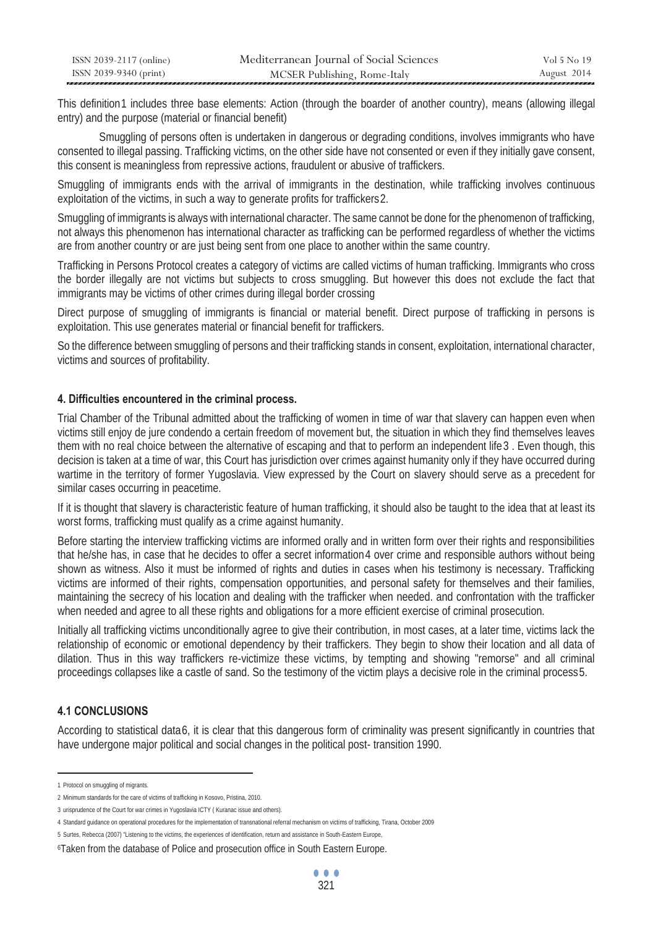| ISSN 2039-2117 (online) | Mediterranean Journal of Social Sciences | Vol 5 No 19 |
|-------------------------|------------------------------------------|-------------|
| ISSN 2039-9340 (print)  | MCSER Publishing, Rome-Italy             | August 2014 |

This definition 1 includes three base elements: Action (through the boarder of another country), means (allowing illegal entry) and the purpose (material or financial benefit)

 Smuggling of persons often is undertaken in dangerous or degrading conditions, involves immigrants who have consented to illegal passing. Trafficking victims, on the other side have not consented or even if they initially gave consent, this consent is meaningless from repressive actions, fraudulent or abusive of traffickers.

Smuggling of immigrants ends with the arrival of immigrants in the destination, while trafficking involves continuous exploitation of the victims, in such a way to generate profits for traffickers2.

Smuggling of immigrants is always with international character. The same cannot be done for the phenomenon of trafficking, not always this phenomenon has international character as trafficking can be performed regardless of whether the victims are from another country or are just being sent from one place to another within the same country.

Trafficking in Persons Protocol creates a category of victims are called victims of human trafficking. Immigrants who cross the border illegally are not victims but subjects to cross smuggling. But however this does not exclude the fact that immigrants may be victims of other crimes during illegal border crossing

Direct purpose of smuggling of immigrants is financial or material benefit. Direct purpose of trafficking in persons is exploitation. This use generates material or financial benefit for traffickers.

So the difference between smuggling of persons and their trafficking stands in consent, exploitation, international character, victims and sources of profitability.

#### **4. Difficulties encountered in the criminal process.**

Trial Chamber of the Tribunal admitted about the trafficking of women in time of war that slavery can happen even when victims still enjoy de jure condendo a certain freedom of movement but, the situation in which they find themselves leaves them with no real choice between the alternative of escaping and that to perform an independent life 3. Even though, this decision is taken at a time of war, this Court has jurisdiction over crimes against humanity only if they have occurred during wartime in the territory of former Yugoslavia. View expressed by the Court on slavery should serve as a precedent for similar cases occurring in peacetime.

If it is thought that slavery is characteristic feature of human trafficking, it should also be taught to the idea that at least its worst forms, trafficking must qualify as a crime against humanity.

Before starting the interview trafficking victims are informed orally and in written form over their rights and responsibilities that he/she has, in case that he decides to offer a secret information 4 over crime and responsible authors without being shown as witness. Also it must be informed of rights and duties in cases when his testimony is necessary. Trafficking victims are informed of their rights, compensation opportunities, and personal safety for themselves and their families, maintaining the secrecy of his location and dealing with the trafficker when needed. and confrontation with the trafficker when needed and agree to all these rights and obligations for a more efficient exercise of criminal prosecution.

Initially all trafficking victims unconditionally agree to give their contribution, in most cases, at a later time, victims lack the relationship of economic or emotional dependency by their traffickers. They begin to show their location and all data of dilation. Thus in this way traffickers re-victimize these victims, by tempting and showing "remorse" and all criminal proceedings collapses like a castle of sand. So the testimony of the victim plays a decisive role in the criminal process5.

## **4.1 CONCLUSIONS**

According to statistical data6, it is clear that this dangerous form of criminality was present significantly in countries that have undergone major political and social changes in the political post- transition 1990.

<sup>1</sup> Protocol on smuggling of migrants.

<sup>2</sup> Minimum standards for the care of victims of trafficking in Kosovo, Pristina, 2010.

<sup>3</sup> urisprudence of the Court for war crimes in Yugoslavia ICTY ( Kuranac issue and others).

<sup>4</sup> Standard guidance on operational procedures for the implementation of transnational referral mechanism on victims of trafficking, Tirana, October 2009

<sup>5</sup> Surtes, Rebecca (2007) "Listening to the victims, the experiences of identification, return and assistance in South-Eastern Europe,

<sup>6</sup>Taken from the database of Police and prosecution office in South Eastern Europe.